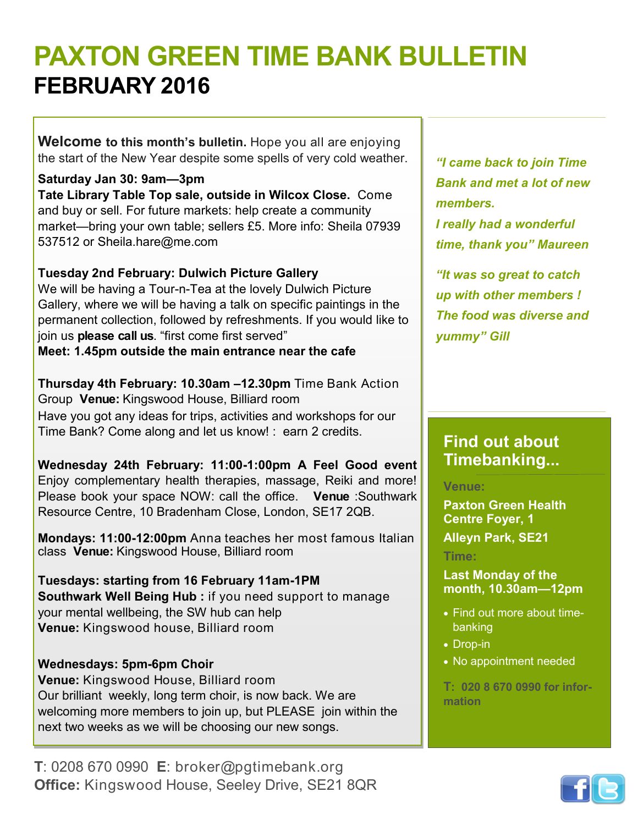# **PAXTON GREEN TIME BANK BULLETIN FEBRUARY 2016**

**Welcome to this month's bulletin.** Hope you all are enjoying the start of the New Year despite some spells of very cold weather.

**Saturday Jan 30: 9am—3pm Tate Library Table Top sale, outside in Wilcox Close.** Come and buy or sell. For future markets: help create a community market—bring your own table; sellers £5. More info: Sheila 07939 537512 or Sheila.hare@me.com

### **Tuesday 2nd February: Dulwich Picture Gallery**

We will be having a Tour-n-Tea at the lovely Dulwich Picture Gallery, where we will be having a talk on specific paintings in the permanent collection, followed by refreshments. If you would like to join us **please call us**. "first come first served" **Meet: 1.45pm outside the main entrance near the cafe**

**Thursday 4th February: 10.30am –12.30pm** Time Bank Action Group **Venue:** Kingswood House, Billiard room Have you got any ideas for trips, activities and workshops for our Time Bank? Come along and let us know! : earn 2 credits.

**Wednesday 24th February: 11:00-1:00pm A Feel Good event**  Enjoy complementary health therapies, massage, Reiki and more! Please book your space NOW: call the office. **Venue** :Southwark Resource Centre, 10 Bradenham Close, London, SE17 2QB.

**Mondays: 11:00-12:00pm** Anna teaches her most famous Italian class **Venue:** Kingswood House, Billiard room

**Tuesdays: starting from 16 February 11am-1PM Southwark Well Being Hub :** if you need support to manage your mental wellbeing, the SW hub can help **Venue:** Kingswood house, Billiard room

### **Wednesdays: 5pm-6pm Choir**

**Venue:** Kingswood House, Billiard room Our brilliant weekly, long term choir, is now back. We are welcoming more members to join up, but PLEASE join within the next two weeks as we will be choosing our new songs.

**T**: 0208 670 0990 **E**: broker@pgtimebank.org **Office:** Kingswood House, Seeley Drive, SE21 8QR

*"I came back to join Time Bank and met a lot of new members. I really had a wonderful* 

*time, thank you" Maureen "It was so great to catch* 

*up with other members ! The food was diverse and yummy" Gill*

### **Find out about Timebanking...**

**Venue:** 

**Paxton Green Health Centre Foyer, 1 Alleyn Park, SE21**

**Time:**

**Last Monday of the month, 10.30am—12pm**

- Find out more about timebanking
- Drop-in
- No appointment needed

**T: 020 8 670 0990 for information**